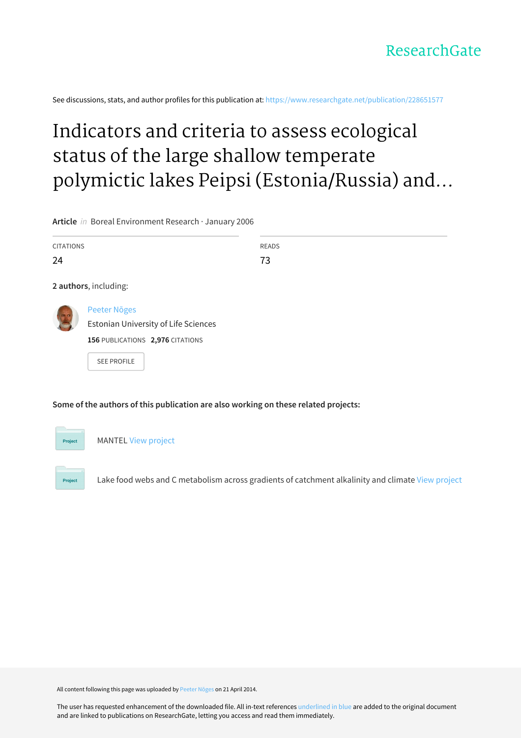See discussions, stats, and author profiles for this publication at: [https://www.researchgate.net/publication/228651577](https://www.researchgate.net/publication/228651577_Indicators_and_criteria_to_assess_ecological_status_of_the_large_shallow_temperate_polymictic_lakes_Peipsi_EstoniaRussia_and_Vortsjarv_Estonia?enrichId=rgreq-fab40fdba115fc073f052cb02e2a3af7-XXX&enrichSource=Y292ZXJQYWdlOzIyODY1MTU3NztBUzoxMDMwMzQ3ODA2NTE1MjlAMTQwMTU3NjgxNDQ4Nw%3D%3D&el=1_x_2&_esc=publicationCoverPdf)

# Indicators and criteria to assess ecological status of the large shallow temperate polymictic lakes Peipsi (Estonia/Russia) and...

**Article** in Boreal Environment Research · January 2006

| <b>CITATIONS</b> |                                                                                                                | <b>READS</b> |
|------------------|----------------------------------------------------------------------------------------------------------------|--------------|
| 24               |                                                                                                                | 73           |
|                  | 2 authors, including:                                                                                          |              |
|                  | Peeter Nõges<br>Estonian University of Life Sciences<br>156 PUBLICATIONS 2,976 CITATIONS<br><b>SEE PROFILE</b> |              |

**Some of the authors of this publication are also working on these related projects:**

Project MANTEL View [project](https://www.researchgate.net/project/MANTEL?enrichId=rgreq-fab40fdba115fc073f052cb02e2a3af7-XXX&enrichSource=Y292ZXJQYWdlOzIyODY1MTU3NztBUzoxMDMwMzQ3ODA2NTE1MjlAMTQwMTU3NjgxNDQ4Nw%3D%3D&el=1_x_9&_esc=publicationCoverPdf)

Project

Lake food webs and C metabolism across gradients of catchment alkalinity and climate View [project](https://www.researchgate.net/project/Lake-food-webs-and-C-metabolism-across-gradients-of-catchment-alkalinity-and-climate?enrichId=rgreq-fab40fdba115fc073f052cb02e2a3af7-XXX&enrichSource=Y292ZXJQYWdlOzIyODY1MTU3NztBUzoxMDMwMzQ3ODA2NTE1MjlAMTQwMTU3NjgxNDQ4Nw%3D%3D&el=1_x_9&_esc=publicationCoverPdf)

All content following this page was uploaded by [Peeter](https://www.researchgate.net/profile/Peeter_Noges?enrichId=rgreq-fab40fdba115fc073f052cb02e2a3af7-XXX&enrichSource=Y292ZXJQYWdlOzIyODY1MTU3NztBUzoxMDMwMzQ3ODA2NTE1MjlAMTQwMTU3NjgxNDQ4Nw%3D%3D&el=1_x_10&_esc=publicationCoverPdf) Nõges on 21 April 2014.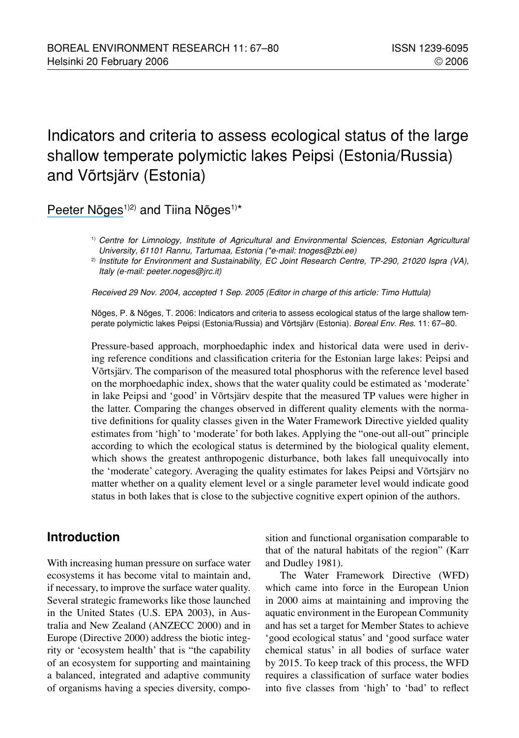## Indicators and criteria to assess ecological status of the large shallow temperate polymictic lakes Peipsi (Estonia/Russia) and Võrtsjärv (Estonia)

## Peeter Nõges<sup>1)2)</sup> and Tiina Nõges<sup>1)\*</sup>

Received 29 Nov. 2004, accepted 1 Sep. 2005 (Editor in charge of this article: Timo Huttula)

Nõges, P. & Nõges, T. 2006: Indicators and criteria to assess ecological status of the large shallow temperate polymictic lakes Peipsi (Estonia/Russia) and Võrtsjärv (Estonia). Boreal Env. Res. 11: 67–80.

Pressure-based approach, morphoedaphic index and historical data were used in deriving reference conditions and classification criteria for the Estonian large lakes: Peipsi and Võrtsjärv. The comparison of the measured total phosphorus with the reference level based on the morphoedaphic index, shows that the water quality could be estimated as 'moderate' in lake Peipsi and 'good' in Võrtsjärv despite that the measured TP values were higher in the latter. Comparing the changes observed in different quality elements with the normative definitions for quality classes given in the Water Framework Directive yielded quality estimates from 'high' to 'moderate' for both lakes. Applying the "one-out all-out" principle according to which the ecological status is determined by the biological quality element, which shows the greatest anthropogenic disturbance, both lakes fall unequivocally into the 'moderate' category. Averaging the quality estimates for lakes Peipsi and Võrtsjärv no matter whether on a quality element level or a single parameter level would indicate good status in both lakes that is close to the subjective cognitive expert opinion of the authors.

## **Introduction**

With increasing human pressure on surface water ecosystems it has become vital to maintain and, if necessary, to improve the surface water quality. Several strategic frameworks like those launched in the United States (U.S. EPA 2003), in Australia and New Zealand (ANZECC 2000) and in Europe (Directive 2000) address the biotic integrity or 'ecosystem health' that is "the capability of an ecosystem for supporting and maintaining a balanced, integrated and adaptive community of organisms having a species diversity, composition and functional organisation comparable to that of the natural habitats of the region" (Karr and Dudley 1981).

The Water Framework Directive (WFD) which came into force in the European Union in 2000 aims at maintaining and improving the aquatic environment in the European Community and has set a target for Member States to achieve 'good ecological status' and 'good surface water chemical status' in all bodies of surface water by 2015. To keep track of this process, the WFD requires a classification of surface water bodies into five classes from 'high' to 'bad' to reflect

<sup>1)</sup> Centre for Limnology, Institute of Agricultural and Environmental Sciences, Estonian Agricultural University, 61101 Rannu, Tartumaa, Estonia (\*e-mail: tnoges@zbi.ee)

<sup>&</sup>lt;sup>2)</sup> Institute for Environment and Sustainability, EC Joint Research Centre, TP-290, 21020 Ispra (VA), Italy (e-mail: peeter.noges@jrc.it)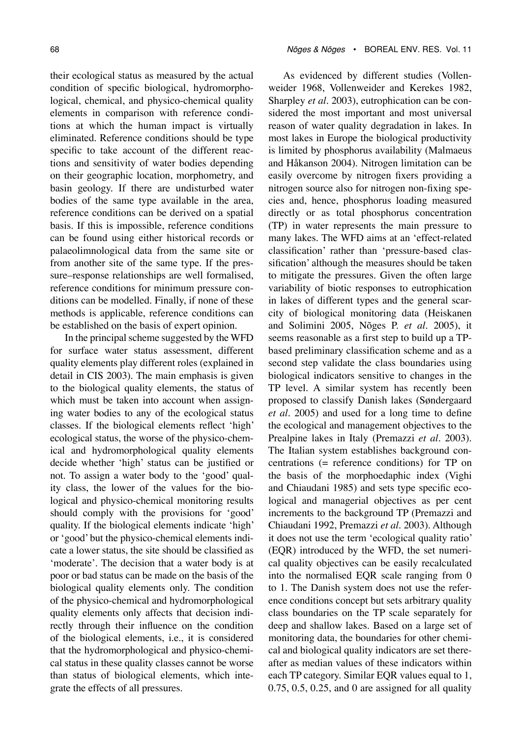their ecological status as measured by the actual condition of specific biological, hydromorphological, chemical, and physico-chemical quality elements in comparison with reference conditions at which the human impact is virtually eliminated. Reference conditions should be type specific to take account of the different reactions and sensitivity of water bodies depending on their geographic location, morphometry, and basin geology. If there are undisturbed water bodies of the same type available in the area, reference conditions can be derived on a spatial basis. If this is impossible, reference conditions can be found using either historical records or palaeolimnological data from the same site or from another site of the same type. If the pressure–response relationships are well formalised, reference conditions for minimum pressure conditions can be modelled. Finally, if none of these methods is applicable, reference conditions can be established on the basis of expert opinion.

In the principal scheme suggested by the WFD for surface water status assessment, different quality elements play different roles (explained in detail in CIS 2003). The main emphasis is given to the biological quality elements, the status of which must be taken into account when assigning water bodies to any of the ecological status classes. If the biological elements reflect 'high' ecological status, the worse of the physico-chemical and hydromorphological quality elements decide whether 'high' status can be justified or not. To assign a water body to the 'good' quality class, the lower of the values for the biological and physico-chemical monitoring results should comply with the provisions for 'good' quality. If the biological elements indicate 'high' or 'good' but the physico-chemical elements indicate a lower status, the site should be classified as 'moderate'. The decision that a water body is at poor or bad status can be made on the basis of the biological quality elements only. The condition of the physico-chemical and hydromorphological quality elements only affects that decision indirectly through their influence on the condition of the biological elements, i.e., it is considered that the hydromorphological and physico-chemical status in these quality classes cannot be worse than status of biological elements, which integrate the effects of all pressures.

As evidenced by different studies (Vollenweider 1968, Vollenweider and Kerekes 1982, Sharpley *et al*. 2003), eutrophication can be considered the most important and most universal reason of water quality degradation in lakes. In most lakes in Europe the biological productivity is limited by phosphorus availability (Malmaeus and Håkanson 2004). Nitrogen limitation can be easily overcome by nitrogen fixers providing a nitrogen source also for nitrogen non-fixing species and, hence, phosphorus loading measured directly or as total phosphorus concentration (TP) in water represents the main pressure to many lakes. The WFD aims at an 'effect-related classification' rather than 'pressure-based classification' although the measures should be taken to mitigate the pressures. Given the often large variability of biotic responses to eutrophication in lakes of different types and the general scarcity of biological monitoring data (Heiskanen and Solimini 2005, Nõges P. *et al*. 2005), it seems reasonable as a first step to build up a TPbased preliminary classification scheme and as a second step validate the class boundaries using biological indicators sensitive to changes in the TP level. A similar system has recently been proposed to classify Danish lakes (Søndergaard *et al*. 2005) and used for a long time to define the ecological and management objectives to the Prealpine lakes in Italy (Premazzi *et al.* 2003). The Italian system establishes background concentrations (= reference conditions) for TP on the basis of the morphoedaphic index (Vighi and Chiaudani 1985) and sets type specific ecological and managerial objectives as per cent increments to the background TP (Premazzi and Chiaudani 1992, Premazzi *et al*. 2003). Although it does not use the term 'ecological quality ratio' (EQR) introduced by the WFD, the set numerical quality objectives can be easily recalculated into the normalised EQR scale ranging from 0 to 1. The Danish system does not use the reference conditions concept but sets arbitrary quality class boundaries on the TP scale separately for deep and shallow lakes. Based on a large set of monitoring data, the boundaries for other chemical and biological quality indicators are set thereafter as median values of these indicators within each TP category. Similar EQR values equal to 1,  $0.75, 0.5, 0.25,$  and 0 are assigned for all quality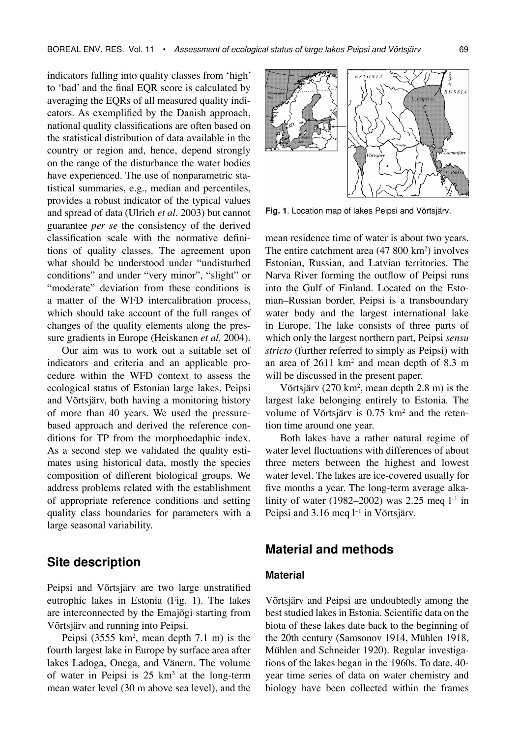indicators falling into quality classes from 'high' to 'bad' and the final EQR score is calculated by averaging the EQRs of all measured quality indicators. As exemplified by the Danish approach, national quality classifications are often based on the statistical distribution of data available in the country or region and, hence, depend strongly on the range of the disturbance the water bodies have experienced. The use of nonparametric statistical summaries, e.g., median and percentiles, provides a robust indicator of the typical values and spread of data (Ulrich *et al*. 2003) but cannot guarantee *per se* the consistency of the derived classification scale with the normative definitions of quality classes. The agreement upon what should be understood under "undisturbed conditions" and under "very minor", "slight" or "moderate" deviation from these conditions is a matter of the WFD intercalibration process, which should take account of the full ranges of changes of the quality elements along the pressure gradients in Europe (Heiskanen *et al*. 2004).

Our aim was to work out a suitable set of indicators and criteria and an applicable procedure within the WFD context to assess the ecological status of Estonian large lakes, Peipsi and Võrtsjärv, both having a monitoring history of more than 40 years. We used the pressurebased approach and derived the reference conditions for TP from the morphoedaphic index. As a second step we validated the quality estimates using historical data, mostly the species composition of different biological groups. We address problems related with the establishment of appropriate reference conditions and setting quality class boundaries for parameters with a large seasonal variability.

#### **Site description**

Peipsi and Võrtsjärv are two large unstratified eutrophic lakes in Estonia (Fig. 1). The lakes are interconnected by the Emajõgi starting from Võrtsjärv and running into Peipsi.

Peipsi  $(3555 \text{ km}^2, \text{ mean depth } 7.1 \text{ m})$  is the fourth largest lake in Europe by surface area after lakes Ladoga, Onega, and Vänern. The volume of water in Peipsi is  $25 \text{ km}^3$  at the long-term mean water level (30 m above sea level), and the



**Fig. 1**. Location map of lakes Peipsi and Võrtsjärv.

mean residence time of water is about two years. The entire catchment area (47 800 km<sup>2</sup>) involves Estonian, Russian, and Latvian territories. The Narva River forming the outflow of Peipsi runs into the Gulf of Finland. Located on the Estonian–Russian border, Peipsi is a transboundary water body and the largest international lake in Europe. The lake consists of three parts of which only the largest northern part, Peipsi *sensu stricto* (further referred to simply as Peipsi) with an area of  $2611 \text{ km}^2$  and mean depth of 8.3 m will be discussed in the present paper.

Võrtsjärv (270 km2 , mean depth 2.8 m) is the largest lake belonging entirely to Estonia. The volume of Võrtsjärv is 0.75 km<sup>2</sup> and the retention time around one year.

Both lakes have a rather natural regime of water level fluctuations with differences of about three meters between the highest and lowest water level. The lakes are ice-covered usually for five months a year. The long-term average alkalinity of water (1982–2002) was 2.25 meq  $l^{-1}$  in Peipsi and 3.16 meq l<sup>-1</sup> in Võrtsjärv.

#### **Material and methods**

#### **Material**

Võrtsjärv and Peipsi are undoubtedly among the best studied lakes in Estonia. Scientific data on the biota of these lakes date back to the beginning of the 20th century (Samsonov 1914, Mühlen 1918, Mühlen and Schneider 1920). Regular investigations of the lakes began in the 1960s. To date, 40 year time series of data on water chemistry and biology have been collected within the frames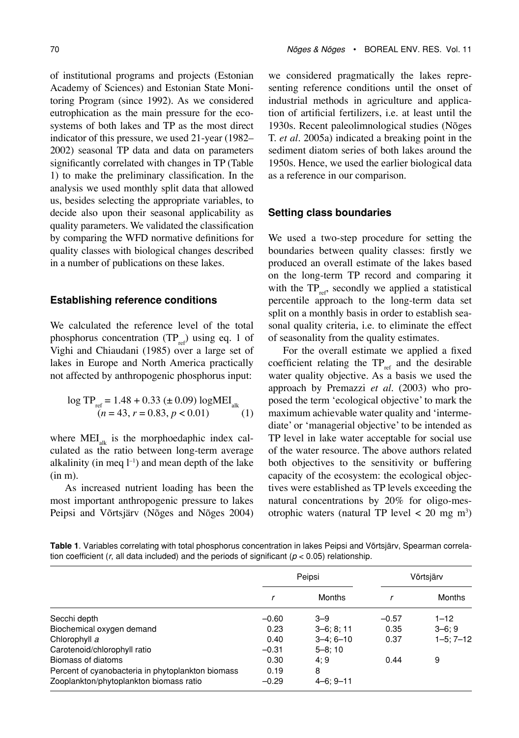of institutional programs and projects (Estonian Academy of Sciences) and Estonian State Monitoring Program (since 1992). As we considered eutrophication as the main pressure for the ecosystems of both lakes and TP as the most direct indicator of this pressure, we used 21-year (1982– 2002) seasonal TP data and data on parameters significantly correlated with changes in TP (Table 1) to make the preliminary classification. In the analysis we used monthly split data that allowed us, besides selecting the appropriate variables, to decide also upon their seasonal applicability as quality parameters. We validated the classification by comparing the WFD normative definitions for quality classes with biological changes described in a number of publications on these lakes.

#### **Establishing reference conditions**

We calculated the reference level of the total phosphorus concentration  $(TP_{ref})$  using eq. 1 of Vighi and Chiaudani (1985) over a large set of lakes in Europe and North America practically not affected by anthropogenic phosphorus input:

$$
\log TP_{ref} = 1.48 + 0.33 \ (\pm 0.09) \log MEI_{alk}
$$
  
(*n* = 43, *r* = 0.83, *p* < 0.01) (1)

where  $MEI_{\text{alt}}$  is the morphoedaphic index calculated as the ratio between long-term average alkalinity (in meq  $l^{-1}$ ) and mean depth of the lake (in m).

As increased nutrient loading has been the most important anthropogenic pressure to lakes Peipsi and Võrtsjärv (Nõges and Nõges 2004) we considered pragmatically the lakes representing reference conditions until the onset of industrial methods in agriculture and application of artificial fertilizers, i.e. at least until the 1930s. Recent paleolimnological studies (Nõges T. *et al*. 2005a) indicated a breaking point in the sediment diatom series of both lakes around the 1950s. Hence, we used the earlier biological data as a reference in our comparison.

#### **Setting class boundaries**

We used a two-step procedure for setting the boundaries between quality classes: firstly we produced an overall estimate of the lakes based on the long-term TP record and comparing it with the  $TP_{ref}$ , secondly we applied a statistical percentile approach to the long-term data set split on a monthly basis in order to establish seasonal quality criteria, i.e. to eliminate the effect of seasonality from the quality estimates.

For the overall estimate we applied a fixed coefficient relating the  $TP_{ref}$  and the desirable water quality objective. As a basis we used the approach by Premazzi *et al*. (2003) who proposed the term 'ecological objective' to mark the maximum achievable water quality and 'intermediate' or 'managerial objective' to be intended as TP level in lake water acceptable for social use of the water resource. The above authors related both objectives to the sensitivity or buffering capacity of the ecosystem: the ecological objectives were established as TP levels exceeding the natural concentrations by 20% for oligo-mesotrophic waters (natural TP level  $<$  20 mg m<sup>3</sup>)

**Table 1**. Variables correlating with total phosphorus concentration in lakes Peipsi and Võrtsjärv, Spearman correlation coefficient ( $r$ , all data included) and the periods of significant ( $p < 0.05$ ) relationship.

|                                                   | Peipsi  |                 | Võrtsjärv |                |
|---------------------------------------------------|---------|-----------------|-----------|----------------|
|                                                   |         | <b>Months</b>   |           | <b>Months</b>  |
| Secchi depth                                      | $-0.60$ | $3 - 9$         | $-0.57$   | $1 - 12$       |
| Biochemical oxygen demand                         | 0.23    | $3-6; 8; 11$    | 0.35      | $3 - 6:9$      |
| Chlorophyll a                                     | 0.40    | $3 - 4: 6 - 10$ | 0.37      | $1 - 5:7 - 12$ |
| Carotenoid/chlorophyll ratio                      | $-0.31$ | $5 - 8:10$      |           |                |
| Biomass of diatoms                                | 0.30    | 4:9             | 0.44      | 9              |
| Percent of cyanobacteria in phytoplankton biomass | 0.19    | 8               |           |                |
| Zooplankton/phytoplankton biomass ratio           | $-0.29$ | $4 - 6: 9 - 11$ |           |                |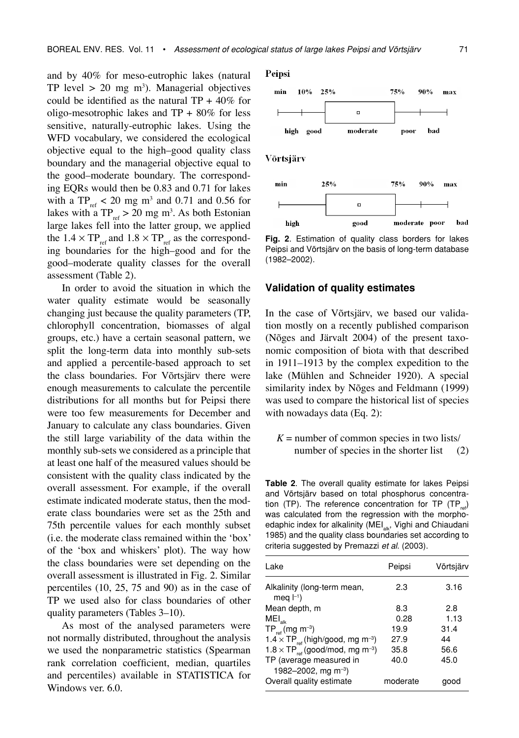and by 40% for meso-eutrophic lakes (natural TP level  $> 20$  mg m<sup>3</sup>). Managerial objectives could be identified as the natural  $TP + 40\%$  for oligo-mesotrophic lakes and  $TP + 80\%$  for less sensitive, naturally-eutrophic lakes. Using the WFD vocabulary, we considered the ecological objective equal to the high–good quality class boundary and the managerial objective equal to the good–moderate boundary. The corresponding EQRs would then be 0.83 and 0.71 for lakes with a  $TP_{ref}$  < 20 mg m<sup>3</sup> and 0.71 and 0.56 for lakes with a  $TP_{ref} > 20$  mg m<sup>3</sup>. As both Estonian large lakes fell into the latter group, we applied the  $1.4 \times TP_{ref}$  and  $1.8 \times TP_{ref}$  as the corresponding boundaries for the high–good and for the good–moderate quality classes for the overall assessment (Table 2).

In order to avoid the situation in which the water quality estimate would be seasonally changing just because the quality parameters (TP, chlorophyll concentration, biomasses of algal groups, etc.) have a certain seasonal pattern, we split the long-term data into monthly sub-sets and applied a percentile-based approach to set the class boundaries. For Võrtsjärv there were enough measurements to calculate the percentile distributions for all months but for Peipsi there were too few measurements for December and January to calculate any class boundaries. Given the still large variability of the data within the monthly sub-sets we considered as a principle that at least one half of the measured values should be consistent with the quality class indicated by the overall assessment. For example, if the overall estimate indicated moderate status, then the moderate class boundaries were set as the 25th and 75th percentile values for each monthly subset (i.e. the moderate class remained within the 'box' of the 'box and whiskers' plot). The way how the class boundaries were set depending on the overall assessment is illustrated in Fig. 2. Similar percentiles (10, 25, 75 and 90) as in the case of TP we used also for class boundaries of other quality parameters (Tables 3–10).

As most of the analysed parameters were not normally distributed, throughout the analysis we used the nonparametric statistics (Spearman rank correlation coefficient, median, quartiles and percentiles) available in STATISTICA for Windows ver. 6.0.

#### Peipsi



Võrtsjärv



**Fig. 2**. Estimation of quality class borders for lakes Peipsi and Võrtsjärv on the basis of long-term database (1982–2002).

#### **Validation of quality estimates**

In the case of Võrtsjärv, we based our validation mostly on a recently published comparison (Nõges and Järvalt 2004) of the present taxonomic composition of biota with that described in 1911–1913 by the complex expedition to the lake (Mühlen and Schneider 1920). A special similarity index by Nõges and Feldmann (1999) was used to compare the historical list of species with nowadays data (Eq. 2):

 $K =$  number of common species in two lists/ number of species in the shorter list (2)

**Table 2**. The overall quality estimate for lakes Peipsi and Võrtsjärv based on total phosphorus concentration (TP). The reference concentration for TP (TP<sub>ref</sub>) was calculated from the regression with the morphoedaphic index for alkalinity (MEI<sub>alk</sub>, Vighi and Chiaudani 1985) and the quality class boundaries set according to criteria suggested by Premazzi et al. (2003).

| Lake                                                   | Peipsi   | Võrtsjärv |
|--------------------------------------------------------|----------|-----------|
| Alkalinity (long-term mean,<br>meg $ -1\rangle$        | 2.3      | 3.16      |
| Mean depth, m                                          | 8.3      | 2.8       |
| $\mathsf{MEI}_\mathsf{alk}$                            | 0.28     | 1.13      |
| $TP_{ref}$ (mg m <sup>-3</sup> )                       | 19.9     | 31.4      |
| $1.4 \times TP_{ref}$ (high/good, mg m <sup>-3</sup> ) | 27.9     | 44        |
| $1.8 \times TP_{ref}$ (good/mod, mg m <sup>-3</sup> )  | 35.8     | 56.6      |
| TP (average measured in                                | 40.0     | 45.0      |
| 1982-2002, mg m <sup>-3</sup> )                        |          |           |
| Overall quality estimate                               | moderate | aood      |
|                                                        |          |           |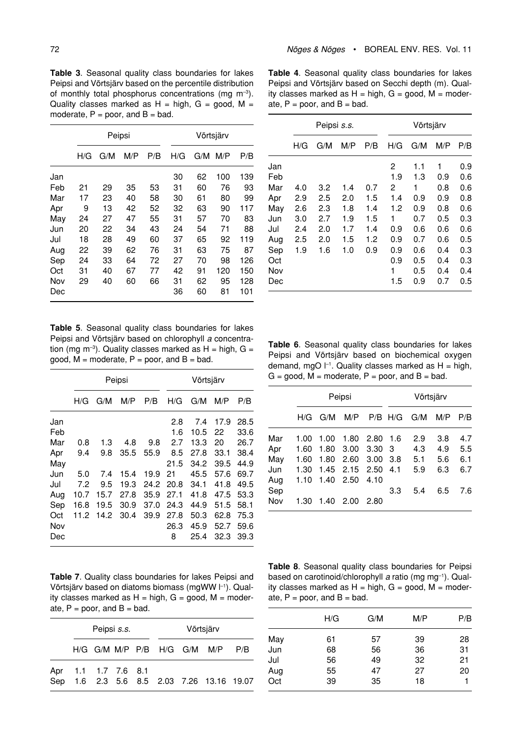**Table 3**. Seasonal quality class boundaries for lakes Peipsi and Võrtsjärv based on the percentile distribution of monthly total phosphorus concentrations (mg  $m^{-3}$ ). Quality classes marked as  $H = high$ ,  $G = good$ ,  $M =$ moderate,  $P = poor$ , and  $B = bad$ .

|     | Peipsi |     |     |     | Võrtsjärv |     |     |     |
|-----|--------|-----|-----|-----|-----------|-----|-----|-----|
|     | H/G    | G/M | M/P | P/B | H/G       | G/M | M/P | P/B |
| Jan |        |     |     |     | 30        | 62  | 100 | 139 |
| Feb | 21     | 29  | 35  | 53  | 31        | 60  | 76  | 93  |
| Mar | 17     | 23  | 40  | 58  | 30        | 61  | 80  | 99  |
| Apr | 9      | 13  | 42  | 52  | 32        | 63  | 90  | 117 |
| May | 24     | 27  | 47  | 55  | 31        | 57  | 70  | 83  |
| Jun | 20     | 22  | 34  | 43  | 24        | 54  | 71  | 88  |
| Jul | 18     | 28  | 49  | 60  | 37        | 65  | 92  | 119 |
| Aug | 22     | 39  | 62  | 76  | 31        | 63  | 75  | 87  |
| Sep | 24     | 33  | 64  | 72  | 27        | 70  | 98  | 126 |
| Oct | 31     | 40  | 67  | 77  | 42        | 91  | 120 | 150 |
| Nov | 29     | 40  | 60  | 66  | 31        | 62  | 95  | 128 |
| Dec |        |     |     |     | 36        | 60  | 81  | 101 |

**Table 5**. Seasonal quality class boundaries for lakes Peipsi and Võrtsjärv based on chlorophyll a concentration (mg m<sup>-3</sup>). Quality classes marked as  $H = high$ ,  $G =$ good,  $M =$  moderate,  $P =$  poor, and  $B =$  bad.

|     |      |      | Peipsi |      |      | Võrtsjärv |      |      |
|-----|------|------|--------|------|------|-----------|------|------|
|     | H/G  | G/M  | M/P    | P/B  | H/G  | G/M       | M/P  | P/B  |
| Jan |      |      |        |      | 2.8  | 7.4       | 17.9 | 28.5 |
| Feb |      |      |        |      | 1.6  | 10.5      | 22   | 33.6 |
| Mar | 0.8  | 1.3  | 4.8    | 9.8  | 2.7  | 13.3      | 20   | 26.7 |
| Apr | 9.4  | 9.8  | 35.5   | 55.9 | 8.5  | 27.8      | 33.1 | 38.4 |
| May |      |      |        |      | 21.5 | 34.2      | 39.5 | 44.9 |
| Jun | 5.0  | 7.4  | 15.4   | 19.9 | 21   | 45.5      | 57.6 | 69.7 |
| Jul | 7.2  | 9.5  | 19.3   | 24.2 | 20.8 | 34.1      | 41.8 | 49.5 |
| Aug | 10.7 | 15.7 | 27.8   | 35.9 | 27.1 | 41.8      | 47.5 | 53.3 |
| Sep | 16.8 | 19.5 | 30.9   | 37.0 | 24.3 | 44.9      | 51.5 | 58.1 |
| Oct | 11.2 | 14.2 | 30.4   | 39.9 | 27.8 | 50.3      | 62.8 | 75.3 |
| Nov |      |      |        |      | 26.3 | 45.9      | 52.7 | 59.6 |
| Dec |      |      |        |      | 8    | 25.4      | 32.3 | 39.3 |

**Table 4**. Seasonal quality class boundaries for lakes Peipsi and Võrtsjärv based on Secchi depth (m). Quality classes marked as  $H = high$ ,  $G = good$ ,  $M = moder$ ate,  $P = poor$ , and  $B = bad$ .

|     |     | Peipsi s.s. |     |     |     | Võrtsjärv |     |     |
|-----|-----|-------------|-----|-----|-----|-----------|-----|-----|
|     | H/G | G/M         | M/P | P/B | H/G | G/M       | M/P | P/B |
| Jan |     |             |     |     | 2   | 1.1       | 1   | 0.9 |
| Feb |     |             |     |     | 1.9 | 1.3       | 0.9 | 0.6 |
| Mar | 4.0 | 3.2         | 1.4 | 0.7 | 2   | 1         | 0.8 | 0.6 |
| Apr | 2.9 | 2.5         | 2.0 | 1.5 | 1.4 | 0.9       | 0.9 | 0.8 |
| May | 2.6 | 2.3         | 1.8 | 1.4 | 1.2 | 0.9       | 0.8 | 0.6 |
| Jun | 3.0 | 2.7         | 1.9 | 1.5 | 1   | 0.7       | 0.5 | 0.3 |
| Jul | 2.4 | 2.0         | 1.7 | 1.4 | 0.9 | 0.6       | 0.6 | 0.6 |
| Aug | 2.5 | 2.0         | 1.5 | 1.2 | 0.9 | 0.7       | 0.6 | 0.5 |
| Sep | 1.9 | 1.6         | 1.0 | 0.9 | 0.9 | 0.6       | 0.4 | 0.3 |
| Oct |     |             |     |     | 0.9 | 0.5       | 0.4 | 0.3 |
| Nov |     |             |     |     | 1   | 0.5       | 0.4 | 0.4 |
| Dec |     |             |     |     | 1.5 | 0.9       | 0.7 | 0.5 |

**Table 6**. Seasonal quality class boundaries for lakes Peipsi and Võrtsjärv based on biochemical oxygen demand, mgO  $\vdash$ <sup>1</sup>. Quality classes marked as  $H = high$ ,  $G =$  good,  $M =$  moderate,  $P =$  poor, and  $B =$  bad.

|     |      | Peipsi |                    |      |           | Võrtsjärv |     |     |
|-----|------|--------|--------------------|------|-----------|-----------|-----|-----|
|     | H/G  | G/M    | M/P                |      | $P/B$ H/G | G/M       | M/P | P/B |
| Mar | 1.00 | 1.00   | 1.80               | 2.80 | 1.6       | 2.9       | 3.8 | 4.7 |
| Apr | 1.60 | 1.80   | 3.00               | 3.30 | - 3       | 4.3       | 4.9 | 5.5 |
| Mav | 1.60 | 1.80   | 2.60               | 3.00 | -3.8      | 5.1       | 5.6 | 6.1 |
| Jun | 1.30 |        | 1.45 2.15 2.50 4.1 |      |           | 5.9       | 6.3 | 6.7 |
| Aug | 1.10 | 1.40   | 2.50               | 4.10 |           |           |     |     |
| Sep |      |        |                    |      | 3.3       | 5.4       | 6.5 | 7.6 |
| Nov | 1.30 |        | 1.40 2.00          | 2.80 |           |           |     |     |

**Table 7**. Quality class boundaries for lakes Peipsi and Võrtsjärv based on diatoms biomass (mgWW  $\vert$ <sup>-1</sup>). Quality classes marked as  $H = high$ ,  $G = good$ ,  $M = moder$ ate,  $P = poor$ , and  $B = bad$ .

| Peipsi s.s.         |  |  |  | Võrtsjärv                   |                                           |     |
|---------------------|--|--|--|-----------------------------|-------------------------------------------|-----|
|                     |  |  |  | H/G G/M M/P P/B H/G G/M M/P |                                           | P/B |
| Apr 1.1 1.7 7.6 8.1 |  |  |  |                             | Sep 1.6 2.3 5.6 8.5 2.03 7.26 13.16 19.07 |     |

**Table 8**. Seasonal quality class boundaries for Peipsi based on carotinoid/chlorophyll a ratio (mg mg<sup>-1</sup>). Quality classes marked as  $H = high$ ,  $G = good$ ,  $M = moder$ ate,  $P = poor$ , and  $B = bad$ .

| H/G | G/M | M/P | P/B |
|-----|-----|-----|-----|
| 61  | 57  | 39  | 28  |
| 68  | 56  | 36  | 31  |
| 56  | 49  | 32  | 21  |
| 55  | 47  | 27  | 20  |
| 39  | 35  | 18  |     |
|     |     |     |     |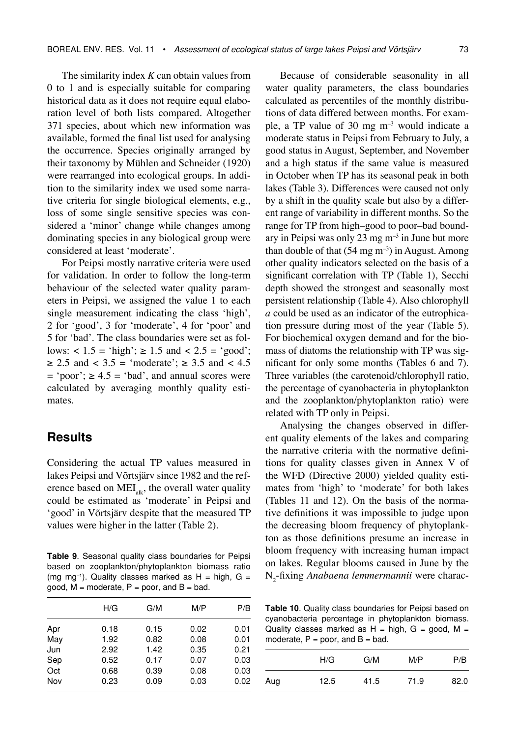The similarity index *K* can obtain values from 0 to 1 and is especially suitable for comparing historical data as it does not require equal elaboration level of both lists compared. Altogether 371 species, about which new information was available, formed the final list used for analysing the occurrence. Species originally arranged by their taxonomy by Mühlen and Schneider (1920) were rearranged into ecological groups. In addition to the similarity index we used some narrative criteria for single biological elements, e.g., loss of some single sensitive species was considered a 'minor' change while changes among dominating species in any biological group were considered at least 'moderate'.

For Peipsi mostly narrative criteria were used for validation. In order to follow the long-term behaviour of the selected water quality parameters in Peipsi, we assigned the value 1 to each single measurement indicating the class 'high', 2 for 'good', 3 for 'moderate', 4 for 'poor' and 5 for 'bad'. The class boundaries were set as follows:  $< 1.5 = 'high'; \ge 1.5$  and  $< 2.5 = 'good';$  $\ge 2.5$  and < 3.5 = 'moderate';  $\ge 3.5$  and < 4.5  $=$  'poor';  $\ge 4.5$  = 'bad', and annual scores were calculated by averaging monthly quality estimates.

#### **Results**

Considering the actual TP values measured in lakes Peipsi and Võrtsjärv since 1982 and the reference based on  $\text{MEI}_{\text{alk}}$ , the overall water quality could be estimated as 'moderate' in Peipsi and 'good' in Võrtsjärv despite that the measured TP values were higher in the latter (Table 2).

**Table 9**. Seasonal quality class boundaries for Peipsi based on zooplankton/phytoplankton biomass ratio (mg mg<sup>-1</sup>). Quality classes marked as  $H = high$ , G = good,  $M =$  moderate,  $P =$  poor, and  $B =$  bad.

| Apr<br>0.15<br>0.02<br>0.18<br>May<br>1.92<br>0.82<br>Jun<br>2.92<br>1.42 |              |
|---------------------------------------------------------------------------|--------------|
|                                                                           | 0.01         |
|                                                                           | 0.08<br>0.01 |
|                                                                           | 0.21<br>0.35 |
| Sep<br>0.52<br>0.17                                                       | 0.07<br>0.03 |
| Oct<br>0.39<br>0.68                                                       | 0.08<br>0.03 |
| Nov<br>0.23<br>0.09                                                       | 0.03<br>0.02 |

Because of considerable seasonality in all water quality parameters, the class boundaries calculated as percentiles of the monthly distributions of data differed between months. For example, a TP value of 30 mg  $m^{-3}$  would indicate a moderate status in Peipsi from February to July, a good status in August, September, and November and a high status if the same value is measured in October when TP has its seasonal peak in both lakes (Table 3). Differences were caused not only by a shift in the quality scale but also by a different range of variability in different months. So the range for TP from high–good to poor–bad boundary in Peipsi was only 23 mg  $m^{-3}$  in June but more than double of that  $(54 \text{ mg m}^{-3})$  in August. Among other quality indicators selected on the basis of a significant correlation with TP (Table 1), Secchi depth showed the strongest and seasonally most persistent relationship (Table 4). Also chlorophyll *a* could be used as an indicator of the eutrophication pressure during most of the year (Table 5). For biochemical oxygen demand and for the biomass of diatoms the relationship with TP was significant for only some months (Tables 6 and 7). Three variables (the carotenoid/chlorophyll ratio, the percentage of cyanobacteria in phytoplankton and the zooplankton/phytoplankton ratio) were related with TP only in Peipsi.

Analysing the changes observed in different quality elements of the lakes and comparing the narrative criteria with the normative definitions for quality classes given in Annex V of the WFD (Directive 2000) yielded quality estimates from 'high' to 'moderate' for both lakes (Tables 11 and 12). On the basis of the normative definitions it was impossible to judge upon the decreasing bloom frequency of phytoplankton as those definitions presume an increase in bloom frequency with increasing human impact on lakes. Regular blooms caused in June by the N<sub>2</sub>-fixing *Anabaena lemmermannii* were charac-

**Table 10**. Quality class boundaries for Peipsi based on cyanobacteria percentage in phytoplankton biomass. Quality classes marked as  $H = high$ ,  $G = good$ ,  $M =$ moderate,  $P = poor$ , and  $B = bad$ .

|     | H/G  | G/M  | M/P  | P/B  |
|-----|------|------|------|------|
| Aug | 12.5 | 41.5 | 71.9 | 82.0 |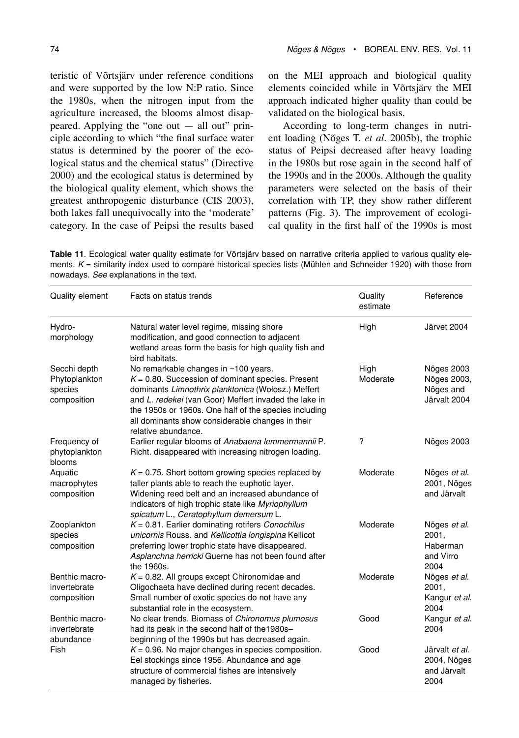teristic of Võrtsjärv under reference conditions and were supported by the low N:P ratio. Since the 1980s, when the nitrogen input from the agriculture increased, the blooms almost disappeared. Applying the "one out — all out" principle according to which "the final surface water status is determined by the poorer of the ecological status and the chemical status" (Directive 2000) and the ecological status is determined by the biological quality element, which shows the greatest anthropogenic disturbance (CIS 2003), both lakes fall unequivocally into the 'moderate' category. In the case of Peipsi the results based on the MEI approach and biological quality elements coincided while in Võrtsjärv the MEI approach indicated higher quality than could be validated on the biological basis.

According to long-term changes in nutrient loading (Nõges T. *et al*. 2005b), the trophic status of Peipsi decreased after heavy loading in the 1980s but rose again in the second half of the 1990s and in the 2000s. Although the quality parameters were selected on the basis of their correlation with TP, they show rather different patterns (Fig. 3). The improvement of ecological quality in the first half of the 1990s is most

**Table 11**. Ecological water quality estimate for Võrtsjärv based on narrative criteria applied to various quality elements.  $K =$  similarity index used to compare historical species lists (Mühlen and Schneider 1920) with those from nowadays. See explanations in the text.

| Quality element                                         | Facts on status trends                                                                                                                                                                                                                                                                                                                          | Quality<br>estimate | Reference                                                     |
|---------------------------------------------------------|-------------------------------------------------------------------------------------------------------------------------------------------------------------------------------------------------------------------------------------------------------------------------------------------------------------------------------------------------|---------------------|---------------------------------------------------------------|
| Hydro-<br>morphology                                    | Natural water level regime, missing shore<br>modification, and good connection to adjacent<br>wetland areas form the basis for high quality fish and<br>bird habitats.                                                                                                                                                                          | High                | Järvet 2004                                                   |
| Secchi depth<br>Phytoplankton<br>species<br>composition | No remarkable changes in ~100 years.<br>$K = 0.80$ . Succession of dominant species. Present<br>dominants Limnothrix planktonica (Wołosz.) Meffert<br>and L. redekei (van Goor) Meffert invaded the lake in<br>the 1950s or 1960s. One half of the species including<br>all dominants show considerable changes in their<br>relative abundance. | High<br>Moderate    | <b>Nõges 2003</b><br>Nõges 2003,<br>Nõges and<br>Järvalt 2004 |
| Frequency of<br>phytoplankton<br>blooms                 | Earlier regular blooms of Anabaena lemmermannii P.<br>Richt. disappeared with increasing nitrogen loading.                                                                                                                                                                                                                                      | ?                   | Nõges 2003                                                    |
| Aquatic<br>macrophytes<br>composition                   | $K = 0.75$ . Short bottom growing species replaced by<br>taller plants able to reach the euphotic layer.<br>Widening reed belt and an increased abundance of<br>indicators of high trophic state like Myriophyllum<br>spicatum L., Ceratophyllum demersum L.                                                                                    | Moderate            | Nõges et al.<br>2001, Nõges<br>and Järvalt                    |
| Zooplankton<br>species<br>composition                   | $K = 0.81$ . Earlier dominating rotifers Conochilus<br>unicornis Rouss. and Kellicottia longispina Kellicot<br>preferring lower trophic state have disappeared.<br>Asplanchna herricki Guerne has not been found after<br>the 1960s.                                                                                                            | Moderate            | Nõges et al.<br>2001,<br>Haberman<br>and Virro<br>2004        |
| Benthic macro-<br>invertebrate<br>composition           | $K = 0.82$ . All groups except Chironomidae and<br>Oligochaeta have declined during recent decades.<br>Small number of exotic species do not have any<br>substantial role in the ecosystem.                                                                                                                                                     | Moderate            | Nõges et al.<br>2001,<br>Kangur et al.<br>2004                |
| Benthic macro-<br>invertebrate<br>abundance             | No clear trends. Biomass of Chironomus plumosus<br>had its peak in the second half of the 1980s-<br>beginning of the 1990s but has decreased again.                                                                                                                                                                                             | Good                | Kangur et al.<br>2004                                         |
| Fish                                                    | $K = 0.96$ . No major changes in species composition.<br>Eel stockings since 1956. Abundance and age<br>structure of commercial fishes are intensively<br>managed by fisheries.                                                                                                                                                                 | Good                | Järvalt et al.<br>2004, Nõges<br>and Järvalt<br>2004          |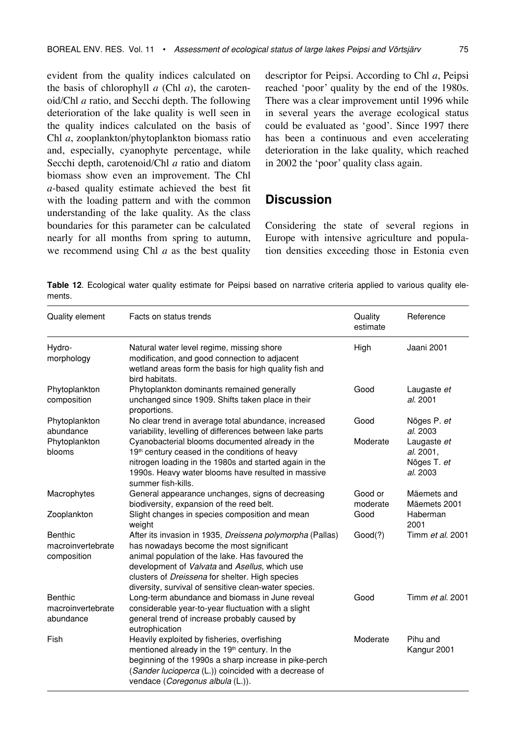evident from the quality indices calculated on the basis of chlorophyll *a* (Chl *a*), the carotenoid/Chl *a* ratio, and Secchi depth. The following deterioration of the lake quality is well seen in the quality indices calculated on the basis of Chl *a*, zooplankton/phytoplankton biomass ratio and, especially, cyanophyte percentage, while Secchi depth, carotenoid/Chl *a* ratio and diatom biomass show even an improvement. The Chl *a*-based quality estimate achieved the best fit with the loading pattern and with the common understanding of the lake quality. As the class boundaries for this parameter can be calculated nearly for all months from spring to autumn, we recommend using Chl *a* as the best quality descriptor for Peipsi. According to Chl *a*, Peipsi reached 'poor' quality by the end of the 1980s. There was a clear improvement until 1996 while in several years the average ecological status could be evaluated as 'good'. Since 1997 there has been a continuous and even accelerating deterioration in the lake quality, which reached in 2002 the 'poor' quality class again.

### **Discussion**

Considering the state of several regions in Europe with intensive agriculture and population densities exceeding those in Estonia even

**Table 12**. Ecological water quality estimate for Peipsi based on narrative criteria applied to various quality elements.

| Quality element                             | Facts on status trends                                                                                                                                                                                                                                                                                                       | Quality<br>estimate | Reference                                           |
|---------------------------------------------|------------------------------------------------------------------------------------------------------------------------------------------------------------------------------------------------------------------------------------------------------------------------------------------------------------------------------|---------------------|-----------------------------------------------------|
| Hydro-<br>morphology                        | Natural water level regime, missing shore<br>modification, and good connection to adjacent<br>wetland areas form the basis for high quality fish and<br>bird habitats.                                                                                                                                                       | High                | Jaani 2001                                          |
| Phytoplankton<br>composition                | Phytoplankton dominants remained generally<br>unchanged since 1909. Shifts taken place in their<br>proportions.                                                                                                                                                                                                              | Good                | Laugaste et<br>al. 2001                             |
| Phytoplankton<br>abundance                  | No clear trend in average total abundance, increased<br>variability, levelling of differences between lake parts                                                                                                                                                                                                             | Good                | Nõges P. et<br>al. 2003                             |
| Phytoplankton<br>blooms                     | Cyanobacterial blooms documented already in the<br>19 <sup>th</sup> century ceased in the conditions of heavy<br>nitrogen loading in the 1980s and started again in the<br>1990s. Heavy water blooms have resulted in massive<br>summer fish-kills.                                                                          | Moderate            | Laugaste et<br>al. 2001.<br>Nõges T. et<br>al. 2003 |
| Macrophytes                                 | General appearance unchanges, signs of decreasing<br>biodiversity, expansion of the reed belt.                                                                                                                                                                                                                               | Good or<br>moderate | Mäemets and<br>Mäemets 2001                         |
| Zooplankton                                 | Slight changes in species composition and mean<br>weight                                                                                                                                                                                                                                                                     | Good                | Haberman<br>2001                                    |
| Benthic<br>macroinvertebrate<br>composition | After its invasion in 1935, Dreissena polymorpha (Pallas)<br>has nowadays become the most significant<br>animal population of the lake. Has favoured the<br>development of Valvata and Asellus, which use<br>clusters of <i>Dreissena</i> for shelter. High species<br>diversity, survival of sensitive clean-water species. | Good(?)             | Timm et al. 2001                                    |
| Benthic<br>macroinvertebrate<br>abundance   | Long-term abundance and biomass in June reveal<br>considerable year-to-year fluctuation with a slight<br>general trend of increase probably caused by<br>eutrophication                                                                                                                                                      | Good                | Timm et al. 2001                                    |
| Fish                                        | Heavily exploited by fisheries, overfishing<br>mentioned already in the 19 <sup>th</sup> century. In the<br>beginning of the 1990s a sharp increase in pike-perch<br>(Sander lucioperca (L.)) coincided with a decrease of<br>vendace (Coregonus albula (L.)).                                                               | Moderate            | Pihu and<br>Kangur 2001                             |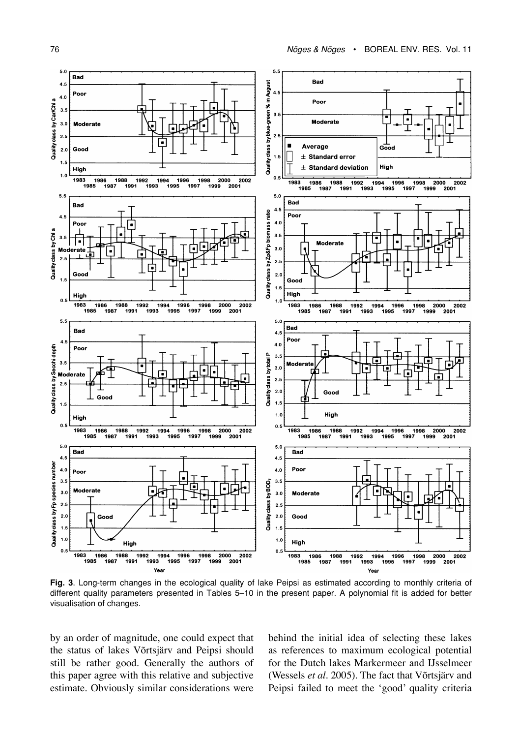

**Fig. 3**. Long-term changes in the ecological quality of lake Peipsi as estimated according to monthly criteria of different quality parameters presented in Tables 5–10 in the present paper. A polynomial fit is added for better visualisation of changes.

by an order of magnitude, one could expect that the status of lakes Võrtsjärv and Peipsi should still be rather good. Generally the authors of this paper agree with this relative and subjective estimate. Obviously similar considerations were

behind the initial idea of selecting these lakes as references to maximum ecological potential for the Dutch lakes Markermeer and IJsselmeer (Wessels *et al*. 2005). The fact that Võrtsjärv and Peipsi failed to meet the 'good' quality criteria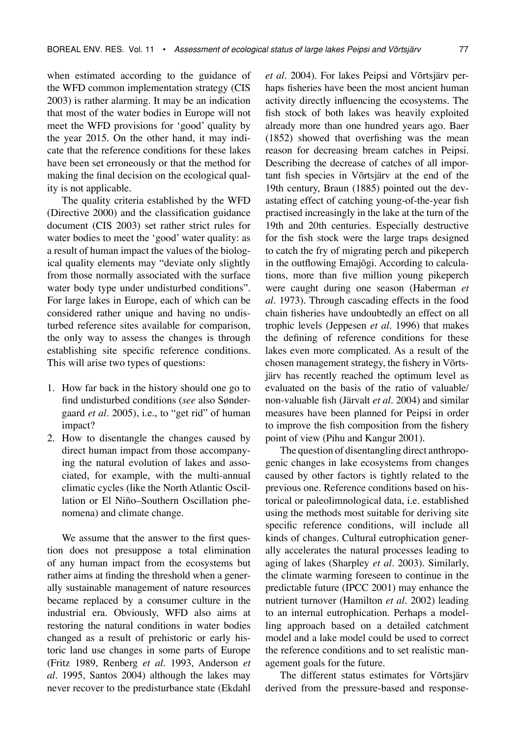when estimated according to the guidance of the WFD common implementation strategy (CIS 2003) is rather alarming. It may be an indication that most of the water bodies in Europe will not meet the WFD provisions for 'good' quality by the year 2015. On the other hand, it may indicate that the reference conditions for these lakes have been set erroneously or that the method for making the final decision on the ecological quality is not applicable.

The quality criteria established by the WFD (Directive 2000) and the classification guidance document (CIS 2003) set rather strict rules for water bodies to meet the 'good' water quality: as a result of human impact the values of the biological quality elements may "deviate only slightly from those normally associated with the surface water body type under undisturbed conditions". For large lakes in Europe, each of which can be considered rather unique and having no undisturbed reference sites available for comparison, the only way to assess the changes is through establishing site specific reference conditions. This will arise two types of questions:

- 1. How far back in the history should one go to find undisturbed conditions (*see* also Søndergaard *et al*. 2005), i.e., to "get rid" of human impact?
- 2. How to disentangle the changes caused by direct human impact from those accompanying the natural evolution of lakes and associated, for example, with the multi-annual climatic cycles (like the North Atlantic Oscillation or El Niño–Southern Oscillation phenomena) and climate change.

We assume that the answer to the first question does not presuppose a total elimination of any human impact from the ecosystems but rather aims at finding the threshold when a generally sustainable management of nature resources became replaced by a consumer culture in the industrial era. Obviously, WFD also aims at restoring the natural conditions in water bodies changed as a result of prehistoric or early historic land use changes in some parts of Europe (Fritz 1989, Renberg *et al*. 1993, Anderson *et al*. 1995, Santos 2004) although the lakes may never recover to the predisturbance state (Ekdahl *et al*. 2004). For lakes Peipsi and Võrtsjärv perhaps fisheries have been the most ancient human activity directly influencing the ecosystems. The fish stock of both lakes was heavily exploited already more than one hundred years ago. Baer (1852) showed that overfishing was the mean reason for decreasing bream catches in Peipsi. Describing the decrease of catches of all important fish species in Võrtsjärv at the end of the 19th century, Braun (1885) pointed out the devastating effect of catching young-of-the-year fish practised increasingly in the lake at the turn of the 19th and 20th centuries. Especially destructive for the fish stock were the large traps designed to catch the fry of migrating perch and pikeperch in the outflowing Emajõgi. According to calculations, more than five million young pikeperch were caught during one season (Haberman *et al*. 1973). Through cascading effects in the food chain fisheries have undoubtedly an effect on all trophic levels (Jeppesen *et al*. 1996) that makes the defining of reference conditions for these lakes even more complicated. As a result of the chosen management strategy, the fishery in Võrtsjärv has recently reached the optimum level as evaluated on the basis of the ratio of valuable/ non-valuable fish (Järvalt *et al*. 2004) and similar measures have been planned for Peipsi in order to improve the fish composition from the fishery point of view (Pihu and Kangur 2001).

The question of disentangling direct anthropogenic changes in lake ecosystems from changes caused by other factors is tightly related to the previous one. Reference conditions based on historical or paleolimnological data, i.e. established using the methods most suitable for deriving site specific reference conditions, will include all kinds of changes. Cultural eutrophication generally accelerates the natural processes leading to aging of lakes (Sharpley *et al*. 2003). Similarly, the climate warming foreseen to continue in the predictable future (IPCC 2001) may enhance the nutrient turnover (Hamilton *et al*. 2002) leading to an internal eutrophication. Perhaps a modelling approach based on a detailed catchment model and a lake model could be used to correct the reference conditions and to set realistic management goals for the future.

The different status estimates for Võrtsjärv derived from the pressure-based and response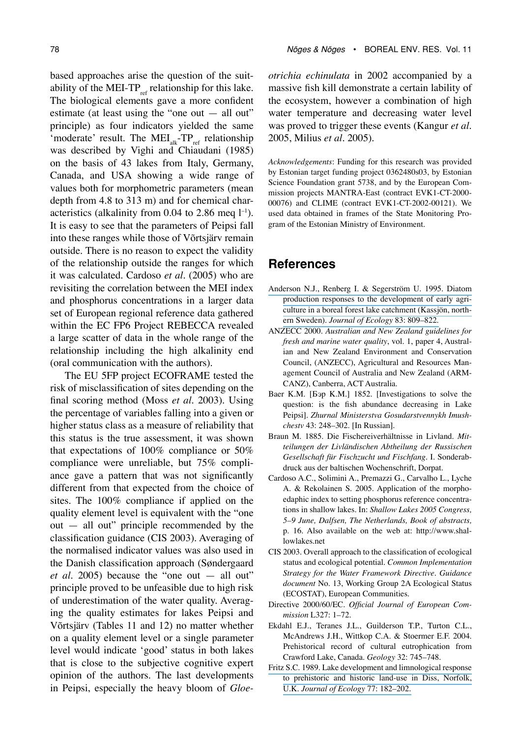based approaches arise the question of the suitability of the MEI-TP $_{ref}$  relationship for this lake. The biological elements gave a more confident estimate (at least using the "one out — all out" principle) as four indicators yielded the same 'moderate' result. The  $MEI_{ak}^-TP_{ref}$  relationship was described by Vighi and Chiaudani (1985) on the basis of 43 lakes from Italy, Germany, Canada, and USA showing a wide range of values both for morphometric parameters (mean depth from 4.8 to 313 m) and for chemical characteristics (alkalinity from 0.04 to 2.86 meq  $l^{-1}$ ). It is easy to see that the parameters of Peipsi fall into these ranges while those of Võrtsjärv remain outside. There is no reason to expect the validity of the relationship outside the ranges for which it was calculated. Cardoso *et al*. (2005) who are revisiting the correlation between the MEI index and phosphorus concentrations in a larger data

set of European regional reference data gathered within the EC FP6 Project REBECCA revealed a large scatter of data in the whole range of the relationship including the high alkalinity end (oral communication with the authors).

The EU 5FP project ECOFRAME tested the risk of misclassification of sites depending on the final scoring method (Moss *et al*. 2003). Using the percentage of variables falling into a given or higher status class as a measure of reliability that this status is the true assessment, it was shown that expectations of 100% compliance or 50% compliance were unreliable, but 75% compliance gave a pattern that was not significantly different from that expected from the choice of sites. The 100% compliance if applied on the quality element level is equivalent with the "one out — all out" principle recommended by the classification guidance (CIS 2003). Averaging of the normalised indicator values was also used in the Danish classification approach (Søndergaard *et al*. 2005) because the "one out — all out" principle proved to be unfeasible due to high risk of underestimation of the water quality. Averaging the quality estimates for lakes Peipsi and Võrtsjärv (Tables 11 and 12) no matter whether on a quality element level or a single parameter level would indicate 'good' status in both lakes that is close to the subjective cognitive expert opinion of the authors. The last developments in Peipsi, especially the heavy bloom of *Gloe-* *otrichia echinulata* in 2002 accompanied by a massive fish kill demonstrate a certain lability of the ecosystem, however a combination of high water temperature and decreasing water level was proved to trigger these events (Kangur *et al*. 2005, Milius *et al*. 2005).

*Acknowledgements*: Funding for this research was provided by Estonian target funding project 0362480s03, by Estonian Science Foundation grant 5738, and by the European Commission projects MANTRA-East (contract EVK1-CT-2000- 00076) and CLIME (contract EVK1-CT-2002-00121). We used data obtained in frames of the State Monitoring Program of the Estonian Ministry of Environment.

## **References**

- [Anderson N.J., Renberg I. & Segerström U. 1995. Diatom](https://www.researchgate.net/publication/258836559_Diatom_Production_Responses_to_the_Development_of_Early_Agriculture_in_a_Boreal_Forest_Lake-Catchment_Kassjon_Northern_Sweden?el=1_x_8&enrichId=rgreq-fab40fdba115fc073f052cb02e2a3af7-XXX&enrichSource=Y292ZXJQYWdlOzIyODY1MTU3NztBUzoxMDMwMzQ3ODA2NTE1MjlAMTQwMTU3NjgxNDQ4Nw==)  [production responses to the development of early agri](https://www.researchgate.net/publication/258836559_Diatom_Production_Responses_to_the_Development_of_Early_Agriculture_in_a_Boreal_Forest_Lake-Catchment_Kassjon_Northern_Sweden?el=1_x_8&enrichId=rgreq-fab40fdba115fc073f052cb02e2a3af7-XXX&enrichSource=Y292ZXJQYWdlOzIyODY1MTU3NztBUzoxMDMwMzQ3ODA2NTE1MjlAMTQwMTU3NjgxNDQ4Nw==)[culture in a boreal forest lake catchment \(Kassjön, north](https://www.researchgate.net/publication/258836559_Diatom_Production_Responses_to_the_Development_of_Early_Agriculture_in_a_Boreal_Forest_Lake-Catchment_Kassjon_Northern_Sweden?el=1_x_8&enrichId=rgreq-fab40fdba115fc073f052cb02e2a3af7-XXX&enrichSource=Y292ZXJQYWdlOzIyODY1MTU3NztBUzoxMDMwMzQ3ODA2NTE1MjlAMTQwMTU3NjgxNDQ4Nw==)ern Sweden). *[Journal of Ecology](https://www.researchgate.net/publication/258836559_Diatom_Production_Responses_to_the_Development_of_Early_Agriculture_in_a_Boreal_Forest_Lake-Catchment_Kassjon_Northern_Sweden?el=1_x_8&enrichId=rgreq-fab40fdba115fc073f052cb02e2a3af7-XXX&enrichSource=Y292ZXJQYWdlOzIyODY1MTU3NztBUzoxMDMwMzQ3ODA2NTE1MjlAMTQwMTU3NjgxNDQ4Nw==)* 83: 809–822.
- ANZECC 2000. *Australian and New Zealand guidelines for fresh and marine water quality*, vol. 1, paper 4, Australian and New Zealand Environment and Conservation Council, (ANZECC), Agricultural and Resources Management Council of Australia and New Zealand (ARM-CANZ), Canberra, ACT Australia.
- Baer K.M. [Бэр K.M.] 1852. [Investigations to solve the question: is the fish abundance decreasing in Lake Peipsi]. *Zhurnal Ministerstva Gosudarstvennykh Imushchestv* 43: 248–302. [In Russian].
- Braun M. 1885. Die Fischereiverhältnisse in Livland. *Mitteilungen der Livländischen Abtheilung der Russischen Gesellschaft für Fischzucht und Fischfang.* I. Sonderabdruck aus der baltischen Wochenschrift, Dorpat.
- Cardoso A.C., Solimini A., Premazzi G., Carvalho L., Lyche A. & Rekolainen S. 2005. Application of the morphoedaphic index to setting phosphorus reference concentrations in shallow lakes. In: *Shallow Lakes 2005 Congress, 5–9 June, Dalfsen, The Netherlands, Book of abstracts,* p. 16. Also available on the web at: http://www.shallowlakes.net
- CIS 2003. Overall approach to the classification of ecological status and ecological potential. *Common Implementation Strategy for the Water Framework Directive. Guidance document* No. 13, Working Group 2A Ecological Status (ECOSTAT), European Communities.
- Directive 2000/60/EC. *Official Journal of European Commission* L327: 1–72.
- Ekdahl E.J., Teranes J.L., Guilderson T.P., Turton C.L., McAndrews J.H., Wittkop C.A. & Stoermer E.F. 2004. Prehistorical record of cultural eutrophication from Crawford Lake, Canada. *Geology* 32: 745–748.
- [Fritz S.C. 1989. Lake development and limnological response](https://www.researchgate.net/publication/264423662_Lake_Development_and_Limnological_Response_to_Prehistoric_and_Historic_Land-Use_in_Diss_Norfolk_UK?el=1_x_8&enrichId=rgreq-fab40fdba115fc073f052cb02e2a3af7-XXX&enrichSource=Y292ZXJQYWdlOzIyODY1MTU3NztBUzoxMDMwMzQ3ODA2NTE1MjlAMTQwMTU3NjgxNDQ4Nw==)  [to prehistoric and historic land-use in Diss, Norfolk,](https://www.researchgate.net/publication/264423662_Lake_Development_and_Limnological_Response_to_Prehistoric_and_Historic_Land-Use_in_Diss_Norfolk_UK?el=1_x_8&enrichId=rgreq-fab40fdba115fc073f052cb02e2a3af7-XXX&enrichSource=Y292ZXJQYWdlOzIyODY1MTU3NztBUzoxMDMwMzQ3ODA2NTE1MjlAMTQwMTU3NjgxNDQ4Nw==)  U.K. *[Journal of Ecology](https://www.researchgate.net/publication/264423662_Lake_Development_and_Limnological_Response_to_Prehistoric_and_Historic_Land-Use_in_Diss_Norfolk_UK?el=1_x_8&enrichId=rgreq-fab40fdba115fc073f052cb02e2a3af7-XXX&enrichSource=Y292ZXJQYWdlOzIyODY1MTU3NztBUzoxMDMwMzQ3ODA2NTE1MjlAMTQwMTU3NjgxNDQ4Nw==)* 77: 182–202.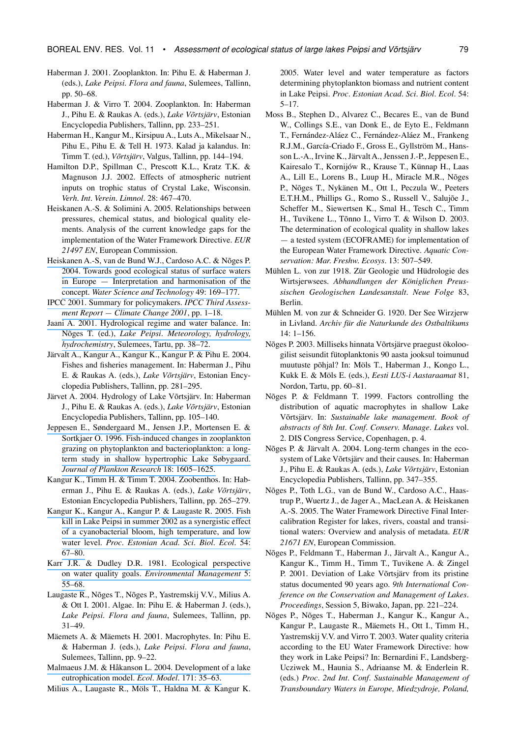- Haberman J. 2001. Zooplankton. In: Pihu E. & Haberman J. (eds.), *Lake Peipsi*. *Flora and fauna*, Sulemees, Tallinn, pp. 50–68.
- Haberman J. & Virro T. 2004. Zooplankton. In: Haberman J., Pihu E. & Raukas A. (eds.), *Lake Võrtsjärv*, Estonian Encyclopedia Publishers, Tallinn, pp. 233–251.
- Haberman H., Kangur M., Kirsipuu A., Luts A., Mikelsaar N., Pihu E., Pihu E. & Tell H. 1973. Kalad ja kalandus. In: Timm T. (ed.), *Võrtsjärv*, Valgus, Tallinn, pp. 144–194.
- Hamilton D.P., Spillman C., Prescott K.L., Kratz T.K. & Magnuson J.J. 2002. Effects of atmospheric nutrient inputs on trophic status of Crystal Lake, Wisconsin. *Verh. Int. Verein. Limnol*. 28: 467–470.
- Heiskanen A.-S. & Solimini A. 2005. Relationships between pressures, chemical status, and biological quality elements. Analysis of the current knowledge gaps for the implementation of the Water Framework Directive. *EUR 21497 EN*, European Commission.
- Heiskanen A.-S, van de [Bund W.J., Cardoso A.C. & Nõges P.](https://www.researchgate.net/publication/8512950_Towards_good_ecological_status_of_surface_waters_in_Europe_-_Interpretation_and_harmonisation_of_the_concept?el=1_x_8&enrichId=rgreq-fab40fdba115fc073f052cb02e2a3af7-XXX&enrichSource=Y292ZXJQYWdlOzIyODY1MTU3NztBUzoxMDMwMzQ3ODA2NTE1MjlAMTQwMTU3NjgxNDQ4Nw==)  [2004. Towards good ecological status of surface waters](https://www.researchgate.net/publication/8512950_Towards_good_ecological_status_of_surface_waters_in_Europe_-_Interpretation_and_harmonisation_of_the_concept?el=1_x_8&enrichId=rgreq-fab40fdba115fc073f052cb02e2a3af7-XXX&enrichSource=Y292ZXJQYWdlOzIyODY1MTU3NztBUzoxMDMwMzQ3ODA2NTE1MjlAMTQwMTU3NjgxNDQ4Nw==)  [in Europe — Interpretation and harmonisation of the](https://www.researchgate.net/publication/8512950_Towards_good_ecological_status_of_surface_waters_in_Europe_-_Interpretation_and_harmonisation_of_the_concept?el=1_x_8&enrichId=rgreq-fab40fdba115fc073f052cb02e2a3af7-XXX&enrichSource=Y292ZXJQYWdlOzIyODY1MTU3NztBUzoxMDMwMzQ3ODA2NTE1MjlAMTQwMTU3NjgxNDQ4Nw==)  concept. *[Water Science and Technology](https://www.researchgate.net/publication/8512950_Towards_good_ecological_status_of_surface_waters_in_Europe_-_Interpretation_and_harmonisation_of_the_concept?el=1_x_8&enrichId=rgreq-fab40fdba115fc073f052cb02e2a3af7-XXX&enrichSource=Y292ZXJQYWdlOzIyODY1MTU3NztBUzoxMDMwMzQ3ODA2NTE1MjlAMTQwMTU3NjgxNDQ4Nw==)* 49: 169–177.
- [IPCC 2001. Summary for policymakers.](https://www.researchgate.net/publication/41571154_Summary_for_Policymakers?el=1_x_8&enrichId=rgreq-fab40fdba115fc073f052cb02e2a3af7-XXX&enrichSource=Y292ZXJQYWdlOzIyODY1MTU3NztBUzoxMDMwMzQ3ODA2NTE1MjlAMTQwMTU3NjgxNDQ4Nw==) *IPCC Third Assess[ment Report — Climate Change 2001](https://www.researchgate.net/publication/41571154_Summary_for_Policymakers?el=1_x_8&enrichId=rgreq-fab40fdba115fc073f052cb02e2a3af7-XXX&enrichSource=Y292ZXJQYWdlOzIyODY1MTU3NztBUzoxMDMwMzQ3ODA2NTE1MjlAMTQwMTU3NjgxNDQ4Nw==)*, pp. 1–18.
- [Jaani A. 2001. Hydrological regime and water balance. In:](https://www.researchgate.net/publication/312611513_Hydrological_regime_and_water_balance?el=1_x_8&enrichId=rgreq-fab40fdba115fc073f052cb02e2a3af7-XXX&enrichSource=Y292ZXJQYWdlOzIyODY1MTU3NztBUzoxMDMwMzQ3ODA2NTE1MjlAMTQwMTU3NjgxNDQ4Nw==)  Nõges T. (ed.), *[Lake Peipsi. Meteorology, hydrology,](https://www.researchgate.net/publication/312611513_Hydrological_regime_and_water_balance?el=1_x_8&enrichId=rgreq-fab40fdba115fc073f052cb02e2a3af7-XXX&enrichSource=Y292ZXJQYWdlOzIyODY1MTU3NztBUzoxMDMwMzQ3ODA2NTE1MjlAMTQwMTU3NjgxNDQ4Nw==)  hydrochemistry*[, Sulemees, Tartu, pp. 38–72.](https://www.researchgate.net/publication/312611513_Hydrological_regime_and_water_balance?el=1_x_8&enrichId=rgreq-fab40fdba115fc073f052cb02e2a3af7-XXX&enrichSource=Y292ZXJQYWdlOzIyODY1MTU3NztBUzoxMDMwMzQ3ODA2NTE1MjlAMTQwMTU3NjgxNDQ4Nw==)
- Järvalt A., Kangur A., Kangur K., Kangur P. & Pihu E. 2004. Fishes and fisheries management. In: Haberman J., Pihu E. & Raukas A. (eds.), *Lake Võrtsjärv*, Estonian Encyclopedia Publishers, Tallinn, pp. 281–295.
- Järvet A. 2004. Hydrology of Lake Võrtsjärv. In: Haberman J., Pihu E. & Raukas A. (eds.), *Lake Võrtsjärv*, Estonian Encyclopedia Publishers, Tallinn, pp. 105–140.
- [Jeppesen E., Søndergaard M., Jensen J.P., Mortensen E. &](https://www.researchgate.net/publication/31354137_Fish-induced_changes_in_zooplankton_grazing_on_phytoplankton_and_bacterioplankton_A_long-term_study_in_shallow_hypertrophic_Lake_Sobygaard?el=1_x_8&enrichId=rgreq-fab40fdba115fc073f052cb02e2a3af7-XXX&enrichSource=Y292ZXJQYWdlOzIyODY1MTU3NztBUzoxMDMwMzQ3ODA2NTE1MjlAMTQwMTU3NjgxNDQ4Nw==)  [Sortkjaer O. 1996. Fish-induced changes in zooplankton](https://www.researchgate.net/publication/31354137_Fish-induced_changes_in_zooplankton_grazing_on_phytoplankton_and_bacterioplankton_A_long-term_study_in_shallow_hypertrophic_Lake_Sobygaard?el=1_x_8&enrichId=rgreq-fab40fdba115fc073f052cb02e2a3af7-XXX&enrichSource=Y292ZXJQYWdlOzIyODY1MTU3NztBUzoxMDMwMzQ3ODA2NTE1MjlAMTQwMTU3NjgxNDQ4Nw==)  [grazing on phytoplankton and bacterioplankton: a long](https://www.researchgate.net/publication/31354137_Fish-induced_changes_in_zooplankton_grazing_on_phytoplankton_and_bacterioplankton_A_long-term_study_in_shallow_hypertrophic_Lake_Sobygaard?el=1_x_8&enrichId=rgreq-fab40fdba115fc073f052cb02e2a3af7-XXX&enrichSource=Y292ZXJQYWdlOzIyODY1MTU3NztBUzoxMDMwMzQ3ODA2NTE1MjlAMTQwMTU3NjgxNDQ4Nw==)[term study in shallow hypertrophic Lake Søbygaard.](https://www.researchgate.net/publication/31354137_Fish-induced_changes_in_zooplankton_grazing_on_phytoplankton_and_bacterioplankton_A_long-term_study_in_shallow_hypertrophic_Lake_Sobygaard?el=1_x_8&enrichId=rgreq-fab40fdba115fc073f052cb02e2a3af7-XXX&enrichSource=Y292ZXJQYWdlOzIyODY1MTU3NztBUzoxMDMwMzQ3ODA2NTE1MjlAMTQwMTU3NjgxNDQ4Nw==)  *[Journal of Plankton Research](https://www.researchgate.net/publication/31354137_Fish-induced_changes_in_zooplankton_grazing_on_phytoplankton_and_bacterioplankton_A_long-term_study_in_shallow_hypertrophic_Lake_Sobygaard?el=1_x_8&enrichId=rgreq-fab40fdba115fc073f052cb02e2a3af7-XXX&enrichSource=Y292ZXJQYWdlOzIyODY1MTU3NztBUzoxMDMwMzQ3ODA2NTE1MjlAMTQwMTU3NjgxNDQ4Nw==)* 18: 1605–1625.
- Kangur K., Timm H. & Timm T. 2004. Zoobenthos. In: Haberman J., Pihu E. & Raukas A. (eds.), *Lake Võrtsjärv*, Estonian Encyclopedia Publishers, Tallinn, pp. 265–279.
- [Kangur K., Kangur A., Kangur P. & Laugaste R. 2005. Fish](https://www.researchgate.net/publication/293226839_Fish_kill_in_Lake_Peipsi_in_summer_2002_as_a_synergistic_effect_of_a_cyanobacterial_bloom_high_temperature_and_low_water_level?el=1_x_8&enrichId=rgreq-fab40fdba115fc073f052cb02e2a3af7-XXX&enrichSource=Y292ZXJQYWdlOzIyODY1MTU3NztBUzoxMDMwMzQ3ODA2NTE1MjlAMTQwMTU3NjgxNDQ4Nw==)  [kill in Lake Peipsi in summer 2002 as a synergistic effect](https://www.researchgate.net/publication/293226839_Fish_kill_in_Lake_Peipsi_in_summer_2002_as_a_synergistic_effect_of_a_cyanobacterial_bloom_high_temperature_and_low_water_level?el=1_x_8&enrichId=rgreq-fab40fdba115fc073f052cb02e2a3af7-XXX&enrichSource=Y292ZXJQYWdlOzIyODY1MTU3NztBUzoxMDMwMzQ3ODA2NTE1MjlAMTQwMTU3NjgxNDQ4Nw==)  [of a cyanobacterial bloom, high temperature, and low](https://www.researchgate.net/publication/293226839_Fish_kill_in_Lake_Peipsi_in_summer_2002_as_a_synergistic_effect_of_a_cyanobacterial_bloom_high_temperature_and_low_water_level?el=1_x_8&enrichId=rgreq-fab40fdba115fc073f052cb02e2a3af7-XXX&enrichSource=Y292ZXJQYWdlOzIyODY1MTU3NztBUzoxMDMwMzQ3ODA2NTE1MjlAMTQwMTU3NjgxNDQ4Nw==)  water level. *[Proc. Estonian Acad. Sci. Biol. Ecol.](https://www.researchgate.net/publication/293226839_Fish_kill_in_Lake_Peipsi_in_summer_2002_as_a_synergistic_effect_of_a_cyanobacterial_bloom_high_temperature_and_low_water_level?el=1_x_8&enrichId=rgreq-fab40fdba115fc073f052cb02e2a3af7-XXX&enrichSource=Y292ZXJQYWdlOzIyODY1MTU3NztBUzoxMDMwMzQ3ODA2NTE1MjlAMTQwMTU3NjgxNDQ4Nw==)* 54: [67–80.](https://www.researchgate.net/publication/293226839_Fish_kill_in_Lake_Peipsi_in_summer_2002_as_a_synergistic_effect_of_a_cyanobacterial_bloom_high_temperature_and_low_water_level?el=1_x_8&enrichId=rgreq-fab40fdba115fc073f052cb02e2a3af7-XXX&enrichSource=Y292ZXJQYWdlOzIyODY1MTU3NztBUzoxMDMwMzQ3ODA2NTE1MjlAMTQwMTU3NjgxNDQ4Nw==)
- [Karr J.R. & Dudley D.R. 1981. Ecological perspective](https://www.researchgate.net/publication/227272834_Ecological_Perspective_on_Water_Quality_Goals?el=1_x_8&enrichId=rgreq-fab40fdba115fc073f052cb02e2a3af7-XXX&enrichSource=Y292ZXJQYWdlOzIyODY1MTU3NztBUzoxMDMwMzQ3ODA2NTE1MjlAMTQwMTU3NjgxNDQ4Nw==)  on water quality goals. *[Environmental Management](https://www.researchgate.net/publication/227272834_Ecological_Perspective_on_Water_Quality_Goals?el=1_x_8&enrichId=rgreq-fab40fdba115fc073f052cb02e2a3af7-XXX&enrichSource=Y292ZXJQYWdlOzIyODY1MTU3NztBUzoxMDMwMzQ3ODA2NTE1MjlAMTQwMTU3NjgxNDQ4Nw==)* 5: [55–68.](https://www.researchgate.net/publication/227272834_Ecological_Perspective_on_Water_Quality_Goals?el=1_x_8&enrichId=rgreq-fab40fdba115fc073f052cb02e2a3af7-XXX&enrichSource=Y292ZXJQYWdlOzIyODY1MTU3NztBUzoxMDMwMzQ3ODA2NTE1MjlAMTQwMTU3NjgxNDQ4Nw==)
- Laugaste R., Nõges T., Nõges P., Yastremskij V.V., Milius A. & Ott I. 2001. Algae. In: Pihu E. & Haberman J. (eds.), *Lake Peipsi*. *Flora and fauna*, Sulemees, Tallinn, pp. 31–49.
- Mäemets A. & Mäemets H. 2001. Macrophytes. In: Pihu E. & Haberman J. (eds.), *Lake Peipsi*. *Flora and fauna*, Sulemees, Tallinn, pp. 9–22.
- [Malmaeus J.M. & Håkanson L. 2004. Development of a lake](https://www.researchgate.net/publication/262068550_Development_of_a_Lake_Eutrophication_model?el=1_x_8&enrichId=rgreq-fab40fdba115fc073f052cb02e2a3af7-XXX&enrichSource=Y292ZXJQYWdlOzIyODY1MTU3NztBUzoxMDMwMzQ3ODA2NTE1MjlAMTQwMTU3NjgxNDQ4Nw==)  [eutrophication model.](https://www.researchgate.net/publication/262068550_Development_of_a_Lake_Eutrophication_model?el=1_x_8&enrichId=rgreq-fab40fdba115fc073f052cb02e2a3af7-XXX&enrichSource=Y292ZXJQYWdlOzIyODY1MTU3NztBUzoxMDMwMzQ3ODA2NTE1MjlAMTQwMTU3NjgxNDQ4Nw==) *Ecol. Model.* 171: 35–63.
- Milius A., Laugaste R., Möls T., Haldna M. & Kangur K.

2005. Water level and water temperature as factors determining phytoplankton biomass and nutrient content in Lake Peipsi. *Proc. Estonian Acad. Sci. Biol. Ecol.* 54: 5–17.

- Moss B., Stephen D., Alvarez C., Becares E., van de Bund W., Collings S.E., van Donk E., de Eyto E., Feldmann T., Fernández-Aláez C., Fernández-Aláez M., Frankeng R.J.M., García-Criado F., Gross E., Gyllström M., Hansson L.-A., Irvine K., Järvalt A., Jenssen J.-P., Jeppesen E., Kairesalo T., Kornijów R., Krause T., Künnap H., Laas A., Lill E., Lorens B., Luup H., Miracle M.R., Nõges P., Nõges T., Nykänen M., Ott I., Peczula W., Peeters E.T.H.M., Phillips G., Romo S., Russell V., Salujõe J., Scheffer M., Siewertsen K., Smal H., Tesch C., Timm H., Tuvikene L., Tõnno I., Virro T. & Wilson D. 2003. The determination of ecological quality in shallow lakes — a tested system (ECOFRAME) for implementation of the European Water Framework Directive. *Aquatic Conservation: Mar. Freshw. Ecosys.* 13: 507–549.
- Mühlen L. von zur 1918. Zür Geologie und Hüdrologie des Wirtsjerwsees. *Abhandlungen der Königlichen Preussischen Geologischen Landesanstalt. Neue Folge* 83, Berlin.
- Mühlen M. von zur & Schneider G. 1920. Der See Wirzjerw in Livland. *Archiv für die Naturkunde des Ostbaltikums* 14: 1–156.
- Nõges P. 2003. Milliseks hinnata Võrtsjärve praegust ökoloogilist seisundit fütoplanktonis 90 aasta jooksul toimunud muutuste põhjal? In: Möls T., Haberman J., Kongo L., Kukk E. & Möls E. (eds.), *Eesti LUS-i Aastaraamat* 81, Nordon, Tartu, pp. 60–81.
- Nõges P. & Feldmann T. 1999. Factors controlling the distribution of aquatic macrophytes in shallow Lake Võrtsjärv. In: *Sustainable lake management. Book of abstracts of 8th Int. Conf. Conserv. Manage. Lakes* vol. 2. DIS Congress Service, Copenhagen, p. 4.
- Nõges P. & Järvalt A. 2004. Long-term changes in the ecosystem of Lake Võrtsjärv and their causes. In: Haberman J., Pihu E. & Raukas A. (eds.), *Lake Võrtsjärv*, Estonian Encyclopedia Publishers, Tallinn, pp. 347–355.
- Nõges P., Toth L.G., van de Bund W., Cardoso A.C., Haastrup P., Wuertz J., de Jager A., MacLean A. & Heiskanen A.-S. 2005. The Water Framework Directive Final Intercalibration Register for lakes, rivers, coastal and transitional waters: Overview and analysis of metadata. *EUR 21671 EN*, European Commission.
- Nõges P., Feldmann T., Haberman J., Järvalt A., Kangur A., Kangur K., Timm H., Timm T., Tuvikene A. & Zingel P. 2001. Deviation of Lake Võrtsjärv from its pristine status documented 90 years ago. *9th International Conference on the Conservation and Management of Lakes. Proceedings*, Session 5, Biwako, Japan, pp. 221–224.
- Nõges P., Nõges T., Haberman J., Kangur K., Kangur A., Kangur P., Laugaste R., Mäemets H., Ott I., Timm H., Yastremskij V.V. and Virro T. 2003. Water quality criteria according to the EU Water Framework Directive: how they work in Lake Peipsi? In: Bernardini F., Landsberg-Ucziwek M., Haunia S., Adriaanse M. & Enderlein R. (eds.) *Proc. 2nd Int. Conf. Sustainable Management of Transboundary Waters in Europe, Miedzydroje, Poland,*